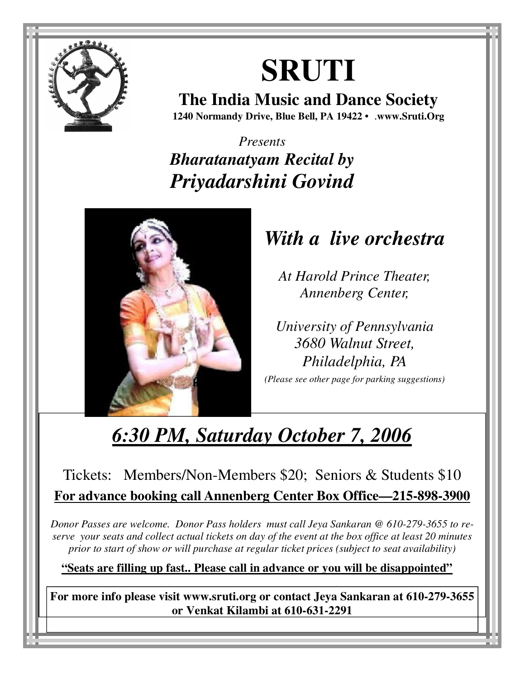

# **SRUTI**

**The India Music and Dance Society 1240 Normandy Drive, Blue Bell, PA 19422 •** .**www.Sruti.Org**

*Presents Bharatanatyam Recital by Priyadarshini Govind* 



# *With a live orchestra*

*At Harold Prince Theater, Annenberg Center,* 

*University of Pennsylvania 3680 Walnut Street, Philadelphia, PA*

*(Please see other page for parking suggestions)* 

# *6:30 PM, Saturday October 7, 2006*

# Tickets: Members/Non-Members \$20; Seniors & Students \$10 **For advance booking call Annenberg Center Box Office—215-898-3900**

*Donor Passes are welcome. Donor Pass holders must call Jeya Sankaran @ 610-279-3655 to reserve your seats and collect actual tickets on day of the event at the box office at least 20 minutes prior to start of show or will purchase at regular ticket prices (subject to seat availability)* 

**"Seats are filling up fast.. Please call in advance or you will be disappointed"**

**For more info please visit www.sruti.org or contact Jeya Sankaran at 610-279-3655 or Venkat Kilambi at 610-631-2291**